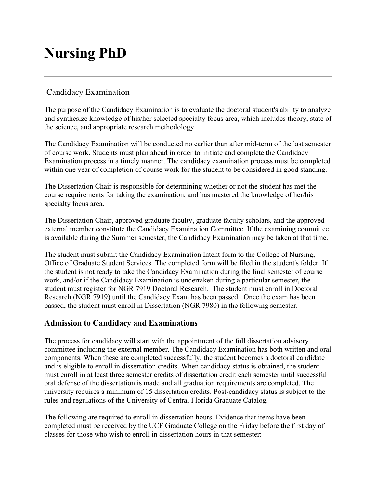# **Nursing PhD**

## Candidacy Examination

The purpose of the Candidacy Examination is to evaluate the doctoral student's ability to analyze and synthesize knowledge of his/her selected specialty focus area, which includes theory, state of the science, and appropriate research methodology.

The Candidacy Examination will be conducted no earlier than after mid-term of the last semester of course work. Students must plan ahead in order to initiate and complete the Candidacy Examination process in a timely manner. The candidacy examination process must be completed within one year of completion of course work for the student to be considered in good standing.

The Dissertation Chair is responsible for determining whether or not the student has met the course requirements for taking the examination, and has mastered the knowledge of her/his specialty focus area.

The Dissertation Chair, approved graduate faculty, graduate faculty scholars, and the approved external member constitute the Candidacy Examination Committee. If the examining committee is available during the Summer semester, the Candidacy Examination may be taken at that time.

The student must submit the Candidacy Examination Intent form to the College of Nursing, Office of Graduate Student Services. The completed form will be filed in the student's folder. If the student is not ready to take the Candidacy Examination during the final semester of course work, and/or if the Candidacy Examination is undertaken during a particular semester, the student must register for NGR 7919 Doctoral Research. The student must enroll in Doctoral Research (NGR 7919) until the Candidacy Exam has been passed. Once the exam has been passed, the student must enroll in Dissertation (NGR 7980) in the following semester.

#### **Admission to Candidacy and Examinations**

The process for candidacy will start with the appointment of the full dissertation advisory committee including the external member. The Candidacy Examination has both written and oral components. When these are completed successfully, the student becomes a doctoral candidate and is eligible to enroll in dissertation credits. When candidacy status is obtained, the student must enroll in at least three semester credits of dissertation credit each semester until successful oral defense of the dissertation is made and all graduation requirements are completed. The university requires a minimum of 15 dissertation credits. Post-candidacy status is subject to the rules and regulations of the University of Central Florida Graduate Catalog.

The following are required to enroll in dissertation hours. Evidence that items have been completed must be received by the UCF Graduate College on the Friday before the first day of classes for those who wish to enroll in dissertation hours in that semester: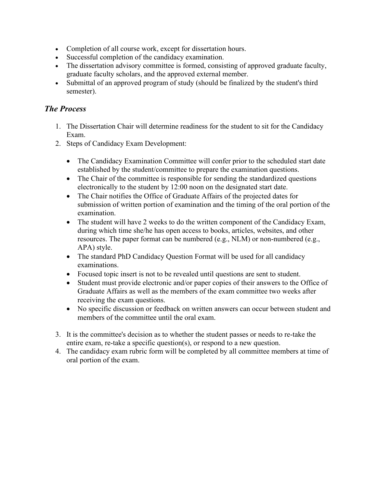- Completion of all course work, except for dissertation hours.
- Successful completion of the candidacy examination.
- The dissertation advisory committee is formed, consisting of approved graduate faculty, graduate faculty scholars, and the approved external member.
- Submittal of an approved program of study (should be finalized by the student's third semester).

### *The Process*

- 1. The Dissertation Chair will determine readiness for the student to sit for the Candidacy Exam.
- 2. Steps of Candidacy Exam Development:
	- The Candidacy Examination Committee will confer prior to the scheduled start date established by the student/committee to prepare the examination questions.
	- The Chair of the committee is responsible for sending the standardized questions electronically to the student by 12:00 noon on the designated start date.
	- The Chair notifies the Office of Graduate Affairs of the projected dates for submission of written portion of examination and the timing of the oral portion of the examination.
	- The student will have 2 weeks to do the written component of the Candidacy Exam, during which time she/he has open access to books, articles, websites, and other resources. The paper format can be numbered (e.g., NLM) or non-numbered (e.g., APA) style.
	- The standard PhD Candidacy Question Format will be used for all candidacy examinations.
	- Focused topic insert is not to be revealed until questions are sent to student.
	- Student must provide electronic and/or paper copies of their answers to the Office of Graduate Affairs as well as the members of the exam committee two weeks after receiving the exam questions.
	- No specific discussion or feedback on written answers can occur between student and members of the committee until the oral exam.
- 3. It is the committee's decision as to whether the student passes or needs to re-take the entire exam, re-take a specific question(s), or respond to a new question.
- 4. The candidacy exam rubric form will be completed by all committee members at time of oral portion of the exam.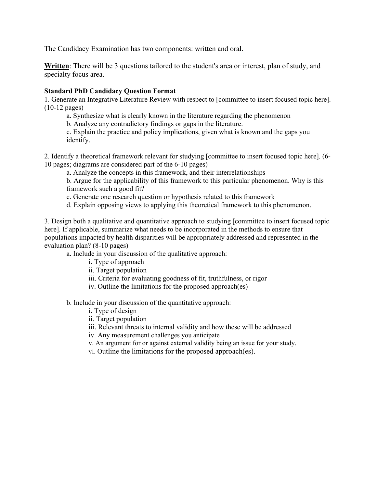The Candidacy Examination has two components: written and oral.

**Written**: There will be 3 questions tailored to the student's area or interest, plan of study, and specialty focus area.

#### **Standard PhD Candidacy Question Format**

1. Generate an Integrative Literature Review with respect to [committee to insert focused topic here]. (10-12 pages)

a. Synthesize what is clearly known in the literature regarding the phenomenon

b. Analyze any contradictory findings or gaps in the literature.

c. Explain the practice and policy implications, given what is known and the gaps you identify.

2. Identify a theoretical framework relevant for studying [committee to insert focused topic here]. (6- 10 pages; diagrams are considered part of the 6-10 pages)

a. Analyze the concepts in this framework, and their interrelationships

b. Argue for the applicability of this framework to this particular phenomenon. Why is this framework such a good fit?

c. Generate one research question or hypothesis related to this framework

d. Explain opposing views to applying this theoretical framework to this phenomenon.

3. Design both a qualitative and quantitative approach to studying [committee to insert focused topic here]. If applicable, summarize what needs to be incorporated in the methods to ensure that populations impacted by health disparities will be appropriately addressed and represented in the evaluation plan? (8-10 pages)

a. Include in your discussion of the qualitative approach:

- i. Type of approach
- ii. Target population
- iii. Criteria for evaluating goodness of fit, truthfulness, or rigor
- iv. Outline the limitations for the proposed approach(es)

b. Include in your discussion of the quantitative approach:

- i. Type of design
- ii. Target population
- iii. Relevant threats to internal validity and how these will be addressed

iv. Any measurement challenges you anticipate

- v. An argument for or against external validity being an issue for your study.
- vi. Outline the limitations for the proposed approach(es).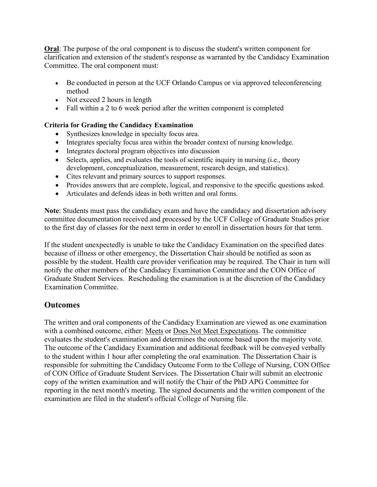**Oral**: The purpose of the oral component is to discuss the student's written component for clarification and extension of the student's response as warranted by the Candidacy Examination Committee. The oral component must:

- Be conducted in person at the UCF Orlando Campus or via approved teleconferencing method
- Not exceed 2 hours in length
- Fall within a 2 to 6 week period after the written component is completed

#### **Criteria for Grading the Candidacy Examination**

- Synthesizes knowledge in specialty focus area.
- Integrates specialty focus area within the broader context of nursing knowledge.
- Integrates doctoral program objectives into discussion
- Selects, applies, and evaluates the tools of scientific inquiry in nursing (i.e., theory development, conceptualization, measurement, research design, and statistics).
- Cites relevant and primary sources to support responses.
- Provides answers that are complete, logical, and responsive to the specific questions asked.
- Articulates and defends ideas in both written and oral forms.

**Note**: Students must pass the candidacy exam and have the candidacy and dissertation advisory committee documentation received and processed by the UCF College of Graduate Studies prior to the first day of classes for the next term in order to enroll in dissertation hours for that term.

If the student unexpectedly is unable to take the Candidacy Examination on the specified dates because of illness or other emergency, the Dissertation Chair should be notified as soon as possible by the student. Health care provider verification may be required. The Chair in turn will notify the other members of the Candidacy Examination Committee and the CON Office of Graduate Student Services. Rescheduling the examination is at the discretion of the Candidacy Examination Committee.

#### **Outcomes**

The written and oral components of the Candidacy Examination are viewed as one examination with a combined outcome, either: Meets or Does Not Meet Expectations. The committee evaluates the student's examination and determines the outcome based upon the majority vote. The outcome of the Candidacy Examination and additional feedback will be conveyed verbally to the student within 1 hour after completing the oral examination. The Dissertation Chair is responsible for submitting the Candidacy Outcome Form to the College of Nursing, CON Office of CON Office of Graduate Student Services. The Dissertation Chair will submit an electronic copy of the written examination and will notify the Chair of the PhD APG Committee for reporting in the next month's meeting. The signed documents and the written component of the examination are filed in the student's official College of Nursing file.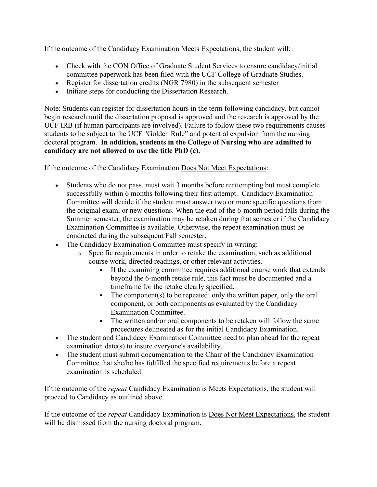If the outcome of the Candidacy Examination Meets Expectations, the student will:

- Check with the CON Office of Graduate Student Services to ensure candidacy/initial committee paperwork has been filed with the UCF College of Graduate Studies.
- Register for dissertation credits (NGR 7980) in the subsequent semester
- Initiate steps for conducting the Dissertation Research.

Note: Students can register for dissertation hours in the term following candidacy, but cannot begin research until the dissertation proposal is approved and the research is approved by the UCF IRB (if human participants are involved). Failure to follow these two requirements causes students to be subject to the UCF "Golden Rule" and potential expulsion from the nursing doctoral program. **In addition, students in the College of Nursing who are admitted to candidacy are not allowed to use the title PhD (c).** 

If the outcome of the Candidacy Examination Does Not Meet Expectations:

- Students who do not pass, must wait 3 months before reattempting but must complete successfully within 6 months following their first attempt. Candidacy Examination Committee will decide if the student must answer two or more specific questions from the original exam, or new questions. When the end of the 6-month period falls during the Summer semester, the examination may be retaken during that semester if the Candidacy Examination Committee is available. Otherwise, the repeat examination must be conducted during the subsequent Fall semester.
- The Candidacy Examination Committee must specify in writing:
	- o Specific requirements in order to retake the examination, such as additional course work, directed readings, or other relevant activities.
		- If the examining committee requires additional course work that extends beyond the 6-month retake rule, this fact must be documented and a timeframe for the retake clearly specified.
		- $\blacksquare$  The component(s) to be repeated: only the written paper, only the oral component, or both components as evaluated by the Candidacy Examination Committee.
		- The written and/or oral components to be retaken will follow the same procedures delineated as for the initial Candidacy Examination.
- The student and Candidacy Examination Committee need to plan ahead for the repeat examination date(s) to insure everyone's availability.
- The student must submit documentation to the Chair of the Candidacy Examination Committee that she/he has fulfilled the specified requirements before a repeat examination is scheduled.

If the outcome of the *repeat* Candidacy Examination is Meets Expectations, the student will proceed to Candidacy as outlined above.

If the outcome of the *repeat* Candidacy Examination is Does Not Meet Expectations, the student will be dismissed from the nursing doctoral program.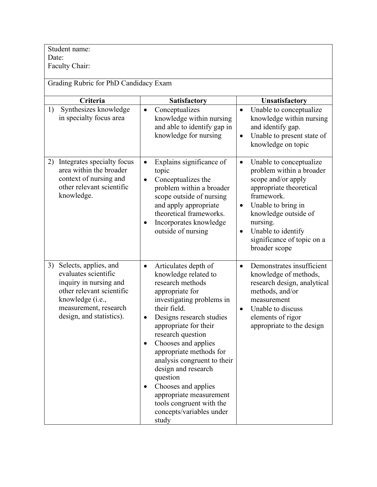| Student name:<br>Date:<br>Faculty Chair:                                                                                                                                                     |                                                                                                                                                                                                                                                                                                                                                                                                                                                                             |                                                                                                                                                                                                                                                                                          |  |
|----------------------------------------------------------------------------------------------------------------------------------------------------------------------------------------------|-----------------------------------------------------------------------------------------------------------------------------------------------------------------------------------------------------------------------------------------------------------------------------------------------------------------------------------------------------------------------------------------------------------------------------------------------------------------------------|------------------------------------------------------------------------------------------------------------------------------------------------------------------------------------------------------------------------------------------------------------------------------------------|--|
| Grading Rubric for PhD Candidacy Exam                                                                                                                                                        |                                                                                                                                                                                                                                                                                                                                                                                                                                                                             |                                                                                                                                                                                                                                                                                          |  |
| Criteria<br>Synthesizes knowledge<br>1)<br>in specialty focus area                                                                                                                           | <b>Satisfactory</b><br>Conceptualizes<br>$\bullet$<br>knowledge within nursing<br>and able to identify gap in<br>knowledge for nursing                                                                                                                                                                                                                                                                                                                                      | Unsatisfactory<br>Unable to conceptualize<br>$\bullet$<br>knowledge within nursing<br>and identify gap.<br>Unable to present state of<br>$\bullet$<br>knowledge on topic                                                                                                                 |  |
| 2)<br>Integrates specialty focus<br>area within the broader<br>context of nursing and<br>other relevant scientific<br>knowledge.                                                             | Explains significance of<br>$\bullet$<br>topic<br>Conceptualizes the<br>$\bullet$<br>problem within a broader<br>scope outside of nursing<br>and apply appropriate<br>theoretical frameworks.<br>Incorporates knowledge<br>٠<br>outside of nursing                                                                                                                                                                                                                          | Unable to conceptualize<br>$\bullet$<br>problem within a broader<br>scope and/or apply<br>appropriate theoretical<br>framework.<br>Unable to bring in<br>$\bullet$<br>knowledge outside of<br>nursing.<br>Unable to identify<br>$\bullet$<br>significance of topic on a<br>broader scope |  |
| 3)<br>Selects, applies, and<br>evaluates scientific<br>inquiry in nursing and<br>other relevant scientific<br>knowledge ( <i>i.e.</i> ,<br>measurement, research<br>design, and statistics). | Articulates depth of<br>$\bullet$<br>knowledge related to<br>research methods<br>appropriate for<br>investigating problems in<br>their field.<br>Designs research studies<br>appropriate for their<br>research question<br>Chooses and applies<br>appropriate methods for<br>analysis congruent to their<br>design and research<br>question<br>Chooses and applies<br>$\bullet$<br>appropriate measurement<br>tools congruent with the<br>concepts/variables under<br>study | Demonstrates insufficient<br>knowledge of methods,<br>research design, analytical<br>methods, and/or<br>measurement<br>Unable to discuss<br>$\bullet$<br>elements of rigor<br>appropriate to the design                                                                                  |  |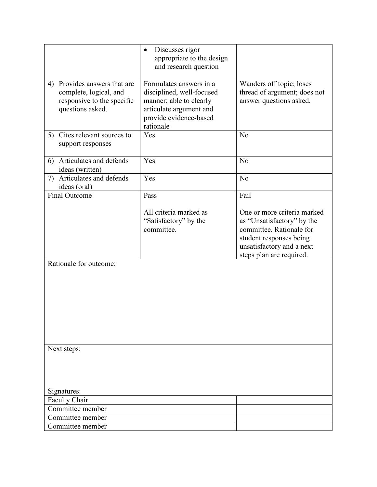|                                                                                                          | Discusses rigor<br>٠<br>appropriate to the design                                                                                                 |                                                                                                                                                                           |
|----------------------------------------------------------------------------------------------------------|---------------------------------------------------------------------------------------------------------------------------------------------------|---------------------------------------------------------------------------------------------------------------------------------------------------------------------------|
|                                                                                                          | and research question                                                                                                                             |                                                                                                                                                                           |
| 4) Provides answers that are<br>complete, logical, and<br>responsive to the specific<br>questions asked. | Formulates answers in a<br>disciplined, well-focused<br>manner; able to clearly<br>articulate argument and<br>provide evidence-based<br>rationale | Wanders off topic; loses<br>thread of argument; does not<br>answer questions asked.                                                                                       |
| 5) Cites relevant sources to<br>support responses                                                        | Yes                                                                                                                                               | N <sub>o</sub>                                                                                                                                                            |
| 6) Articulates and defends<br>ideas (written)                                                            | Yes                                                                                                                                               | N <sub>o</sub>                                                                                                                                                            |
| Articulates and defends<br>7)<br>ideas (oral)                                                            | Yes                                                                                                                                               | No                                                                                                                                                                        |
| <b>Final Outcome</b>                                                                                     | Pass                                                                                                                                              | Fail                                                                                                                                                                      |
|                                                                                                          | All criteria marked as<br>"Satisfactory" by the<br>committee.                                                                                     | One or more criteria marked<br>as "Unsatisfactory" by the<br>committee. Rationale for<br>student responses being<br>unsatisfactory and a next<br>steps plan are required. |
| Rationale for outcome:                                                                                   |                                                                                                                                                   |                                                                                                                                                                           |
|                                                                                                          |                                                                                                                                                   |                                                                                                                                                                           |
|                                                                                                          |                                                                                                                                                   |                                                                                                                                                                           |
|                                                                                                          |                                                                                                                                                   |                                                                                                                                                                           |
| Next steps:                                                                                              |                                                                                                                                                   |                                                                                                                                                                           |
|                                                                                                          |                                                                                                                                                   |                                                                                                                                                                           |
| Signatures:                                                                                              |                                                                                                                                                   |                                                                                                                                                                           |
| Faculty Chair                                                                                            |                                                                                                                                                   |                                                                                                                                                                           |
| Committee member<br>Committee member                                                                     |                                                                                                                                                   |                                                                                                                                                                           |
| Committee member                                                                                         |                                                                                                                                                   |                                                                                                                                                                           |